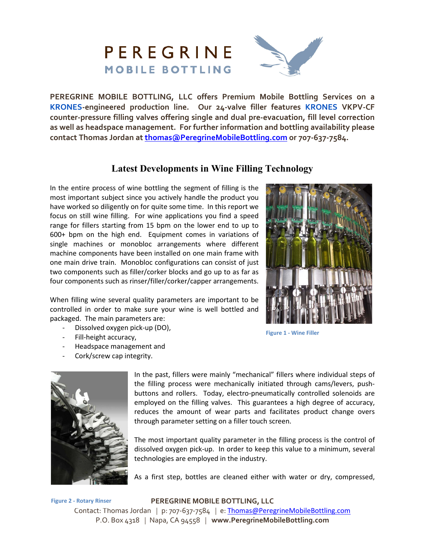

**PEREGRINE MOBILE BOTTLING, LLC offers Premium Mobile Bottling Services on a KRONES-engineered production line. Our 24-valve filler features KRONES VKPV-CF counter-pressure filling valves offering single and dual pre-evacuation, fill level correction as well as headspace management. For further information and bottling availability please contact Thomas Jordan at thomas@PeregrineMobileBottling.com or 707-637-7584.** 

## **Latest Developments in Wine Filling Technology**

In the entire process of wine bottling the segment of filling is the most important subject since you actively handle the product you have worked so diligently on for quite some time. In this report we focus on still wine filling. For wine applications you find a speed range for fillers starting from 15 bpm on the lower end to up to 600+ bpm on the high end. Equipment comes in variations of single machines or monobloc arrangements where different machine components have been installed on one main frame with one main drive train. Monobloc configurations can consist of just two components such as filler/corker blocks and go up to as far as four components such as rinser/filler/corker/capper arrangements.

When filling wine several quality parameters are important to be controlled in order to make sure your wine is well bottled and packaged. The main parameters are:

- Dissolved oxygen pick-up (DO),
- Fill-height accuracy,
- Headspace management and
- Cork/screw cap integrity.



**Figure 1 - Wine Filler**



In the past, fillers were mainly "mechanical" fillers where individual steps of the filling process were mechanically initiated through cams/levers, pushbuttons and rollers. Today, electro-pneumatically controlled solenoids are employed on the filling valves. This guarantees a high degree of accuracy, reduces the amount of wear parts and facilitates product change overs through parameter setting on a filler touch screen.

The most important quality parameter in the filling process is the control of dissolved oxygen pick-up. In order to keep this value to a minimum, several technologies are employed in the industry.

As a first step, bottles are cleaned either with water or dry, compressed,

Contact: Thomas Jordan *|* p: 707-637-7584 *|* e: Thomas@PeregrineMobileBottling.com P.O. Box 4318 *|* Napa, CA 94558 *|* **www.PeregrineMobileBottling.com Figure 2 - Rotary Rinser** 

## **PEREGRINE MOBILE BOTTLING, LLC**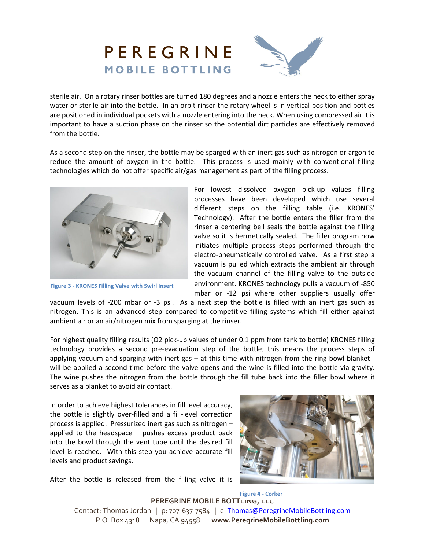

sterile air. On a rotary rinser bottles are turned 180 degrees and a nozzle enters the neck to either spray water or sterile air into the bottle. In an orbit rinser the rotary wheel is in vertical position and bottles are positioned in individual pockets with a nozzle entering into the neck. When using compressed air it is important to have a suction phase on the rinser so the potential dirt particles are effectively removed from the bottle.

As a second step on the rinser, the bottle may be sparged with an inert gas such as nitrogen or argon to reduce the amount of oxygen in the bottle. This process is used mainly with conventional filling technologies which do not offer specific air/gas management as part of the filling process.



**Figure 3 - KRONES Filling Valve with Swirl Insert** 

For lowest dissolved oxygen pick-up values filling processes have been developed which use several different steps on the filling table (i.e. KRONES' Technology). After the bottle enters the filler from the rinser a centering bell seals the bottle against the filling valve so it is hermetically sealed. The filler program now initiates multiple process steps performed through the electro-pneumatically controlled valve. As a first step a vacuum is pulled which extracts the ambient air through the vacuum channel of the filling valve to the outside environment. KRONES technology pulls a vacuum of -850 mbar or -12 psi where other suppliers usually offer

vacuum levels of -200 mbar or -3 psi. As a next step the bottle is filled with an inert gas such as nitrogen. This is an advanced step compared to competitive filling systems which fill either against ambient air or an air/nitrogen mix from sparging at the rinser.

For highest quality filling results (O2 pick-up values of under 0.1 ppm from tank to bottle) KRONES filling technology provides a second pre-evacuation step of the bottle; this means the process steps of applying vacuum and sparging with inert gas – at this time with nitrogen from the ring bowl blanket will be applied a second time before the valve opens and the wine is filled into the bottle via gravity. The wine pushes the nitrogen from the bottle through the fill tube back into the filler bowl where it serves as a blanket to avoid air contact.

In order to achieve highest tolerances in fill level accuracy, the bottle is slightly over-filled and a fill-level correction process is applied. Pressurized inert gas such as nitrogen – applied to the headspace – pushes excess product back into the bowl through the vent tube until the desired fill level is reached. With this step you achieve accurate fill levels and product savings.



After the bottle is released from the filling valve it is

**PEREGRINE MOBILE BOTTLING, LLC** Contact: Thomas Jordan *|* p: 707-637-7584 *|* e: Thomas@PeregrineMobileBottling.com P.O. Box 4318 *|* Napa, CA 94558 *|* **www.PeregrineMobileBottling.com Figure 4 - Corker**